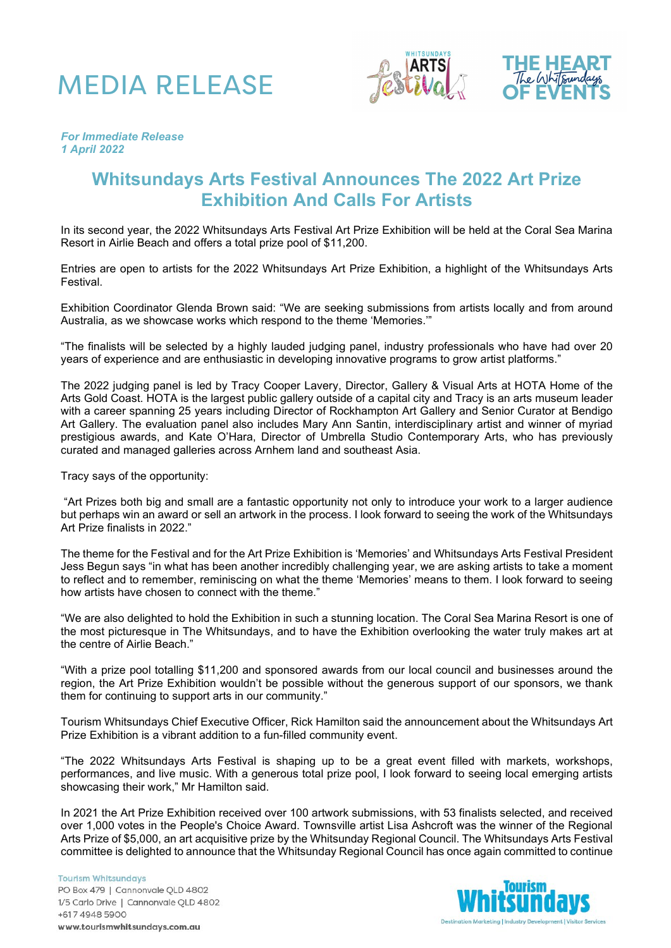





#### *For Immediate Release 1 April 2022*

## **Whitsundays Arts Festival Announces The 2022 Art Prize Exhibition And Calls For Artists**

In its second year, the 2022 Whitsundays Arts Festival Art Prize Exhibition will be held at the Coral Sea Marina Resort in Airlie Beach and offers a total prize pool of \$11,200.

Entries are open to artists for the 2022 Whitsundays Art Prize Exhibition, a highlight of the Whitsundays Arts Festival.

Exhibition Coordinator Glenda Brown said: "We are seeking submissions from artists locally and from around Australia, as we showcase works which respond to the theme 'Memories.'"

"The finalists will be selected by a highly lauded judging panel, industry professionals who have had over 20 years of experience and are enthusiastic in developing innovative programs to grow artist platforms."

The 2022 judging panel is led by Tracy Cooper Lavery, Director, Gallery & Visual Arts at HOTA Home of the Arts Gold Coast. HOTA is the largest public gallery outside of a capital city and Tracy is an arts museum leader with a career spanning 25 years including Director of Rockhampton Art Gallery and Senior Curator at Bendigo Art Gallery. The evaluation panel also includes Mary Ann Santin, interdisciplinary artist and winner of myriad prestigious awards, and Kate O'Hara, Director of Umbrella Studio Contemporary Arts, who has previously curated and managed galleries across Arnhem land and southeast Asia.

Tracy says of the opportunity:

"Art Prizes both big and small are a fantastic opportunity not only to introduce your work to a larger audience but perhaps win an award or sell an artwork in the process. I look forward to seeing the work of the Whitsundays Art Prize finalists in 2022."

The theme for the Festival and for the Art Prize Exhibition is 'Memories' and Whitsundays Arts Festival President Jess Begun says "in what has been another incredibly challenging year, we are asking artists to take a moment to reflect and to remember, reminiscing on what the theme 'Memories' means to them. I look forward to seeing how artists have chosen to connect with the theme."

"We are also delighted to hold the Exhibition in such a stunning location. The Coral Sea Marina Resort is one of the most picturesque in The Whitsundays, and to have the Exhibition overlooking the water truly makes art at the centre of Airlie Beach."

"With a prize pool totalling \$11,200 and sponsored awards from our local council and businesses around the region, the Art Prize Exhibition wouldn't be possible without the generous support of our sponsors, we thank them for continuing to support arts in our community."

Tourism Whitsundays Chief Executive Officer, Rick Hamilton said the announcement about the Whitsundays Art Prize Exhibition is a vibrant addition to a fun-filled community event.

"The 2022 Whitsundays Arts Festival is shaping up to be a great event filled with markets, workshops, performances, and live music. With a generous total prize pool, I look forward to seeing local emerging artists showcasing their work," Mr Hamilton said.

In 2021 the Art Prize Exhibition received over 100 artwork submissions, with 53 finalists selected, and received over 1,000 votes in the People's Choice Award. Townsville artist Lisa Ashcroft was the winner of the Regional Arts Prize of \$5,000, an art acquisitive prize by the Whitsunday Regional Council. The Whitsundays Arts Festival committee is delighted to announce that the Whitsunday Regional Council has once again committed to continue

**Tourism Whitsundays** PO Box 479 | Cannonvale QLD 4802 1/5 Carlo Drive | Cannonvale QLD 4802 +617 4948 5900 www.tourismwhitsundays.com.au